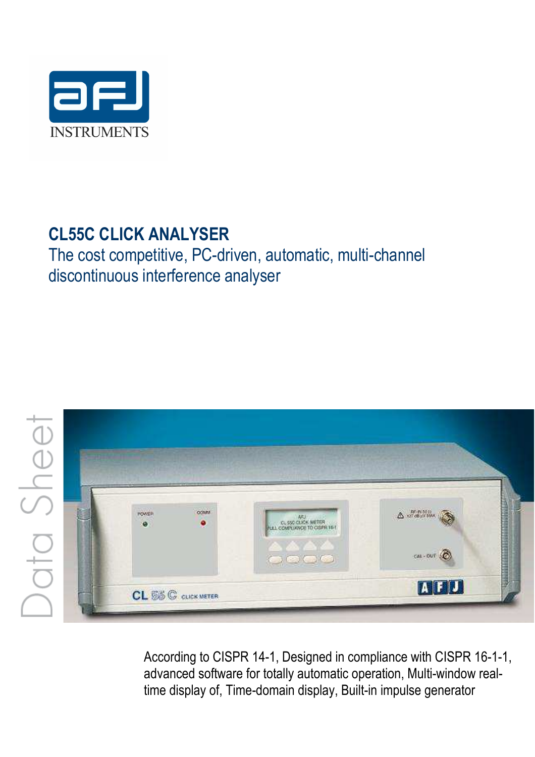

# **CL55C CLICK ANALYSER**

The cost competitive, PC-driven, automatic, multi-channel discontinuous interference analyser



According to CISPR 14-1, Designed in compliance with CISPR 16-1-1, advanced software for totally automatic operation, Multi-window realtime display of, Time-domain display, Built-in impulse generator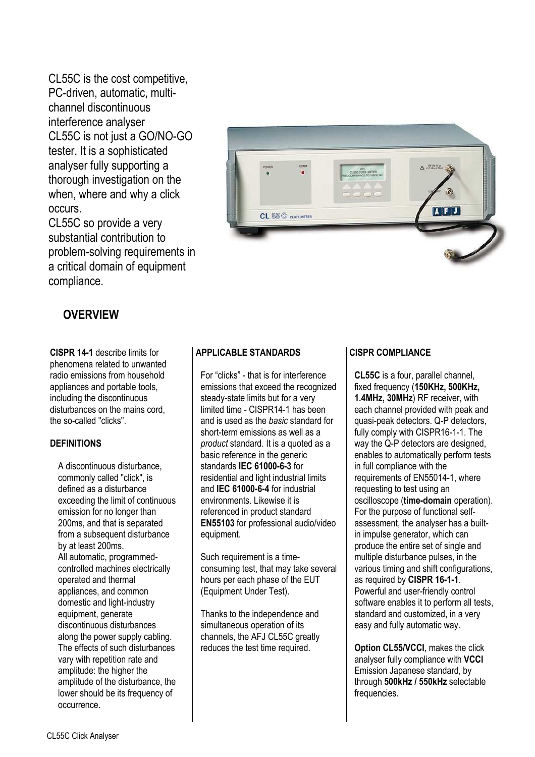CL55C is the cost competitive, PC-driven, automatic, multichannel discontinuous interference analyser CL55C is not just a GO/NO-GO tester. It is a sophisticated analyser fully supporting a thorough investigation on the when, where and why a click occurs.

CL55C so provide a very substantial contribution to problem-solving requirements in a critical domain of equipment compliance.



## **OVERVIEW**

**CISPR 14-1** describe limits for phenomena related to unwanted radio emissions from household appliances and portable tools, including the discontinuous disturbances on the mains cord. the so-called "clicks".

#### **DEFINITIONS**

A discontinuous disturbance, commonly called "click", is defined as a disturbance exceeding the limit of continuous emission for no longer than 200ms, and that is separated from a subsequent disturbance by at least 200ms. All automatic, programmedcontrolled machines electrically operated and thermal appliances, and common domestic and light-industry equipment, generate discontinuous disturbances along the power supply cabling. The effects of such disturbances vary with repetition rate and amplitude: the higher the amplitude of the disturbance, the lower should be its frequency of occurrence.

#### **APPLICABLE STANDARDS**

For "clicks" - that is for interference emissions that exceed the recognized steady-state limits but for a very limited time - CISPR14-1 has been and is used as the *basic* standard for short-term emissions as well as a *product* standard. It is a quoted as a basic reference in the generic standards **IEC 61000-6-3** for residential and light industrial limits and **IEC 61000-6-4** for industrial environments. Likewise it is referenced in product standard **EN55103** for professional audio/video equipment.

Such requirement is a timeconsuming test, that may take several hours per each phase of the EUT (Equipment Under Test).

Thanks to the independence and simultaneous operation of its channels, the AFJ CL55C greatly reduces the test time required.

#### **CISPR COMPLIANCE**

**CL55C** is a four, parallel channel, fixed frequency (**150KHz, 500KHz, 1.4MHz, 30MHz**) RF receiver, with each channel provided with peak and quasi-peak detectors. Q-P detectors, fully comply with CISPR16-1-1. The way the Q-P detectors are designed, enables to automatically perform tests in full compliance with the requirements of EN55014-1, where requesting to test using an oscilloscope (**time-domain** operation). For the purpose of functional selfassessment, the analyser has a builtin impulse generator, which can produce the entire set of single and multiple disturbance pulses, in the various timing and shift configurations, as required by **CISPR 16-1-1**. Powerful and user-friendly control software enables it to perform all tests, standard and customized, in a very easy and fully automatic way.

**Option CL55/VCCI**, makes the click analyser fully compliance with **VCCI** Emission Japanese standard, by through **500kHz / 550kHz** selectable frequencies.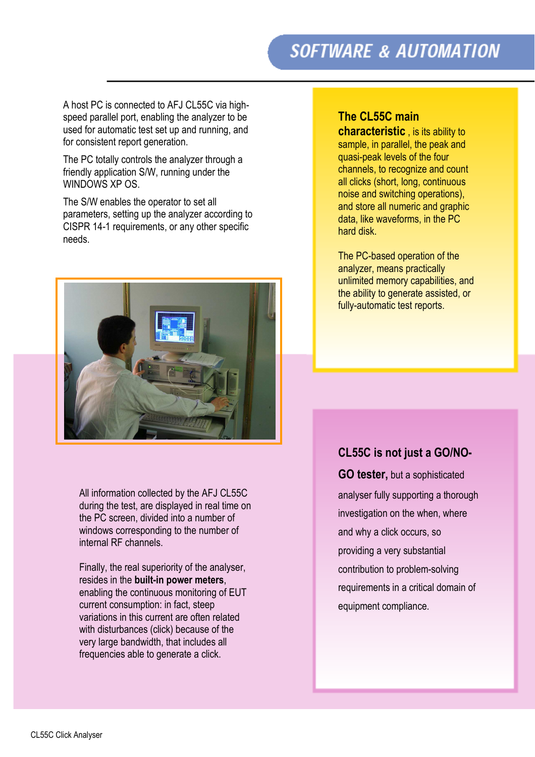# **SOFTWARE & AUTOMATION**

A host PC is connected to AFJ CL55C via highspeed parallel port, enabling the analyzer to be used for automatic test set up and running, and for consistent report generation.

The PC totally controls the analyzer through a friendly application S/W, running under the WINDOWS XP OS

The S/W enables the operator to set all parameters, setting up the analyzer according to CISPR 14-1 requirements, or any other specific needs.



All information collected by the AFJ CL55C during the test, are displayed in real time on the PC screen, divided into a number of windows corresponding to the number of internal RF channels.

Finally, the real superiority of the analyser, resides in the **built-in power meters**, enabling the continuous monitoring of EUT current consumption: in fact, steep variations in this current are often related with disturbances (click) because of the very large bandwidth, that includes all frequencies able to generate a click.

## **The CL55C main**

**characteristic** , is its ability to sample, in parallel, the peak and quasi-peak levels of the four channels, to recognize and count all clicks (short, long, continuous noise and switching operations), and store all numeric and graphic data, like waveforms, in the PC hard disk.

The PC-based operation of the analyzer, means practically unlimited memory capabilities, and the ability to generate assisted, or fully-automatic test reports.

## **CL55C is not just a GO/NO-**

**GO tester,** but a sophisticated analyser fully supporting a thorough investigation on the when, where and why a click occurs, so providing a very substantial contribution to problem-solving requirements in a critical domain of equipment compliance.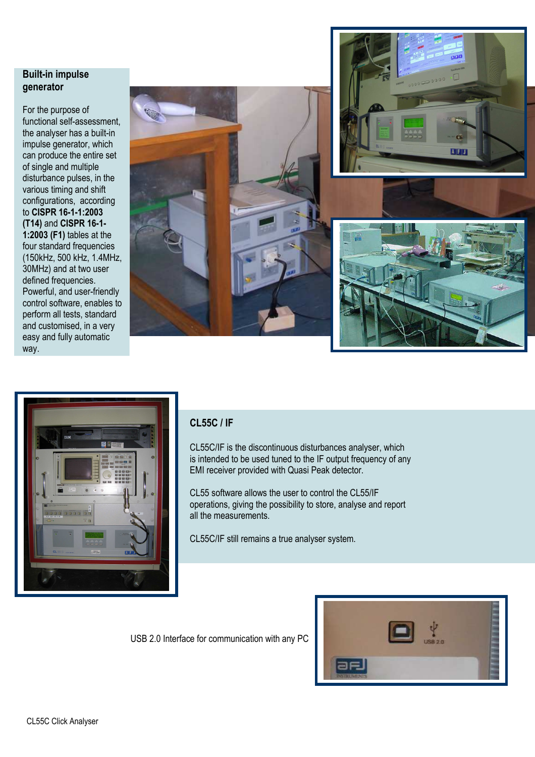#### **Built-in impulse generator**

For the purpose of functional self-assessment, the analyser has a built-in impulse generator, which can produce the entire set of single and multiple disturbance pulses, in the various timing and shift configurations,according to **CISPR 16-1-1:2003 (T14)** and **CISPR 16-1- 1:2003 (F1)** tables at the four standard frequencies (150kHz, 500 kHz, 1.4MHz, 30MHz) and at two user defined frequencies. Powerful, and user-friendly control software, enables to perform all tests, standard and customised, in a very easy and fully automatic way.





## **CL55C / IF**

CL55C/IF is the discontinuous disturbances analyser, which is intended to be used tuned to the IF output frequency of any EMI receiver provided with Quasi Peak detector.

CL55 software allows the user to control the CL55/IF operations, giving the possibility to store, analyse and report all the measurements.

CL55C/IF still remains a true analyser system.

USB 2.0 Interface for communication with any PC

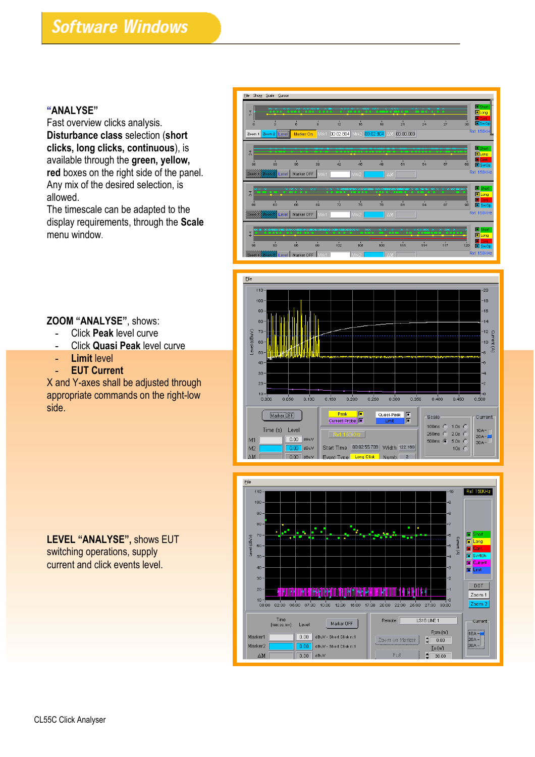#### **"ANALYSE"**

Fast overview clicks analysis. **Disturbance class** selection (**short clicks, long clicks, continuous**), is available through the **green, yellow, red** boxes on the right side of the panel. Any mix of the desired selection, is allowed.

The timescale can be adapted to the display requirements, through the **Scale** menu window.







#### **ZOOM "ANALYSE"**, shows:

- **-** Click **Peak** level curve
- **-** Click **Quasi Peak** level curve
- **- Limit** level
- **- EUT Current**

X and Y-axes shall be adjusted through appropriate commands on the right-low side.

**LEVEL "ANALYSE",** shows EUT switching operations, supply current and click events level.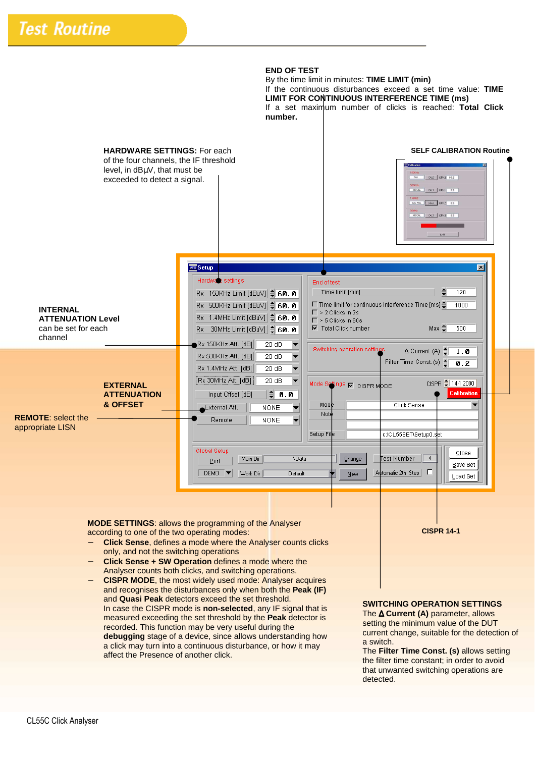#### **END OF TEST**

By the time limit in minutes: **TIME LIMIT (min)**  If the continuous disturbances exceed a set time value: **TIME LIMIT FOR CONTINUOUS INTERFERENCE TIME (ms)**  If a set maximum number of clicks is reached: **Total Click number.** 



measured exceeding the set threshold by the **Peak** detector is recorded. This function may be very useful during the **debugging** stage of a device, since allows understanding how a click may turn into a continuous disturbance, or how it may affect the Presence of another click.

The ∆ **Current (A)** parameter, allows setting the minimum value of the DUT current change, suitable for the detection of a switch.

The **Filter Time Const. (s)** allows setting the filter time constant; in order to avoid that unwanted switching operations are detected.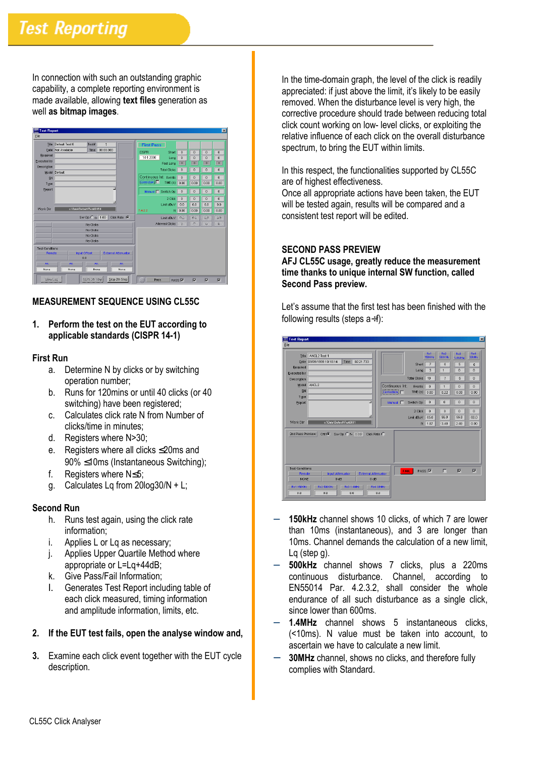In connection with such an outstanding graphic capability, a complete reporting environment is made available, allowing **text files** generation as well **as bitmap images**.

| <b>BET Test Report</b> |                                                             |                      |           |                               |                                        |                     |                          |                          | $ \mathbf{x} $           |
|------------------------|-------------------------------------------------------------|----------------------|-----------|-------------------------------|----------------------------------------|---------------------|--------------------------|--------------------------|--------------------------|
| File                   |                                                             |                      |           |                               |                                        |                     |                          |                          |                          |
|                        | Title Default Test 0                                        | Test#                | F         |                               | <b>First Pass</b>                      |                     |                          |                          |                          |
|                        | Date Not Available                                          | Time                 | 00:00.000 |                               | <b>CISPR</b><br>Short                  | $\bf{0}$            | $\theta$                 | $\bf{0}$                 | $\theta$                 |
| Required               |                                                             |                      |           |                               | 14-1 2000<br>Long                      | $\bf{0}$            | $\theta$                 | $\bf{0}$                 | $\theta$                 |
| Executed by            |                                                             |                      |           |                               | Fast Long                              | $\overline{0}$      | $\overline{\phantom{a}}$ | $\overline{\phantom{a}}$ | $\overline{\phantom{a}}$ |
| Description            |                                                             |                      |           |                               | <b>Total Clicks</b>                    | 0                   | $\bf{0}$                 | $\bf{0}$                 | $\bf{0}$                 |
|                        | Model Default                                               |                      |           |                               |                                        |                     |                          |                          |                          |
| SN                     |                                                             |                      |           |                               | Continuous Int. Events<br>Correction [ | $\bf{0}$            | $\bf{0}$                 | $\bf{0}$                 | $\overline{0}$           |
| Type                   |                                                             |                      |           |                               | TIME (s) $0.00$                        | 0.00                | 0.00                     | 0.00                     |                          |
| Report                 |                                                             |                      |           | E                             | Manual   Switch Op                     | 0                   | 0                        | $\bf{0}$                 | $\theta$                 |
|                        |                                                             |                      |           |                               | 2 Click                                | $\bf{0}$            | $\theta$                 | $\bf{0}$                 | $\theta$                 |
|                        |                                                             |                      |           |                               | Limit dBuV                             | 0.0                 | 0.0                      | 0.0                      | 0.0                      |
| Work Dir               | o:\Data\Default\Test0016\1                                  |                      |           |                               | 7.4.2.2                                | $N$ 0.00            | 0.00                     | 0.00                     | 0.00                     |
|                        |                                                             | Sw Op $C_{f}$ = 1.00 |           | Click Rate $\,\,\widehat{}\,$ | Linit dBuV                             | 00                  | 00                       | 0.0                      | 0.0                      |
|                        |                                                             | No Clicks            |           |                               | Allowed Clicks                         | $\overline{\Omega}$ | $\Omega$                 | $\ddot{\mathbf{u}}$      | Ù.                       |
| No Clicks              |                                                             |                      |           |                               |                                        |                     |                          |                          |                          |
| No Clicks              |                                                             |                      |           |                               |                                        |                     |                          |                          |                          |
|                        | No Clicks                                                   |                      |           |                               |                                        |                     |                          |                          |                          |
| <b>Test Conditions</b> |                                                             |                      |           |                               |                                        |                     |                          |                          |                          |
|                        | <b>External Attenuator</b><br><b>Input Offset</b><br>Remote |                      |           |                               |                                        |                     |                          |                          |                          |
| 0.0                    |                                                             |                      |           |                               |                                        |                     |                          |                          |                          |
| Att                    | Att                                                         | Att.                 |           | Azti                          |                                        |                     |                          |                          |                          |
| None                   | None                                                        | None                 |           | None                          |                                        |                     |                          |                          |                          |
| View Loat              |                                                             | <b>BUN Dh Step!</b>  |           | Stop 2th Step                 | Pass                                   | PASS <sup>I</sup>   | $\overline{v}$           | $\overline{v}$           | $\overline{v}$           |

#### **MEASUREMENT SEQUENCE USING CL55C**

#### **1. Perform the test on the EUT according to applicable standards (CISPR 14-1)**

#### **First Run**

- a. Determine N by clicks or by switching operation number;
- b. Runs for 120mins or until 40 clicks (or 40 switching) have been registered;
- c. Calculates click rate N from Number of clicks/time in minutes;
- d. Registers where N>30;
- e. Registers where all clicks ≤20ms and 90% ≤10ms (Instantaneous Switching);
- f. Registers where N≤5;
- g. Calculates Lq from 20log30/N + L;

#### **Second Run**

- h. Runs test again, using the click rate information;
- i. Applies L or Lq as necessary;
- j. Applies Upper Quartile Method where appropriate or L=Lq+44dB;
- k. Give Pass/Fail Information;
- l. Generates Test Report including table of each click measured, timing information and amplitude information, limits, etc.
- **2. If the EUT test fails, open the analyse window and,**
- **3.** Examine each click event together with the EUT cycle description.

In the time-domain graph, the level of the click is readily appreciated: if just above the limit, it's likely to be easily removed. When the disturbance level is very high, the corrective procedure should trade between reducing total click count working on low- level clicks, or exploiting the relative influence of each click on the overall disturbance spectrum, to bring the EUT within limits.

In this respect, the functionalities supported by CL55C are of highest effectiveness.

Once all appropriate actions have been taken, the EUT will be tested again, results will be compared and a consistent test report will be edited.

#### **SECOND PASS PREVIEW**

**AFJ CL55C usage, greatly reduce the measurement time thanks to unique internal SW function, called Second Pass preview.** 

Let's assume that the first test has been finished with the following results (steps  $a \div f$ ):

| File                                            | <b>NTT</b> Test Report                                                  |                                                                |                         |
|-------------------------------------------------|-------------------------------------------------------------------------|----------------------------------------------------------------|-------------------------|
|                                                 |                                                                         |                                                                |                         |
| Title                                           | ANCL2 Test 1                                                            | Rx2<br>Rx1<br><b>Rx3</b><br>150 KHz<br><b>500KHz</b><br>1.4MHz | Rx4<br>30MHz            |
| Date                                            | 02:21.733<br>09/09/1999 10:18:14<br>Time                                | $\overline{z}$<br>6<br>5<br>Short                              | $\bf{0}$                |
| Required                                        |                                                                         | 3<br>o<br>1<br>Long                                            | $\theta$                |
| Executed by                                     |                                                                         |                                                                |                         |
| Description                                     |                                                                         | <b>Total Clicks</b><br>10<br>$\overline{z}$<br>5               | $\bf{0}$                |
| Model                                           | ANCL <sub>2</sub>                                                       | Continuous Int<br>Events<br>$\bf{0}$<br>ñ<br>$\overline{1}$    | $\Omega$                |
| SN                                              |                                                                         | Correction  <br>TIME (\$) 0.00<br>0.22<br>0.00                 | 0.00                    |
| Type                                            |                                                                         | o<br>$\bf{0}$<br>$\theta$<br>Switch Op                         | $\ddot{\mathbf{0}}$     |
| Report                                          |                                                                         | Manual I                                                       |                         |
|                                                 |                                                                         | 2 Click<br>$\bf{0}$<br>$\bf{0}$<br>o                           | $\theta$                |
|                                                 | ш                                                                       | 56.0<br>56.0<br>Limit dBuV<br>65.0                             | 60.0                    |
| Work Dir                                        | c:\Data\Default\Test0001                                                | 3.48<br>2.48<br>N 1.87                                         | 0.00                    |
| 2nd Pass Preview                                | Click Rate $\bigcirc$<br>Off $\bullet$ Sw Op $\circ$ f= 0.00            |                                                                |                         |
|                                                 |                                                                         |                                                                |                         |
| <b>Test Conditions</b><br>Remote<br><b>NONE</b> | <b>Input Attenuator</b><br><b>External Attenuator</b><br>0 dB<br>$0$ dB | п<br>PASS <sub>IV</sub><br>ঢ়<br><b>FAIL</b>                   | $\overline{\mathbf{v}}$ |

- **150kHz** channel shows 10 clicks, of which 7 are lower than 10ms (instantaneous), and 3 are longer than 10ms. Channel demands the calculation of a new limit, Lq (step g).
- − **500kHz** channel shows 7 clicks, plus a 220ms continuous disturbance. Channel, according to EN55014 Par. 4.2.3.2, shall consider the whole endurance of all such disturbance as a single click, since lower than 600ms.
- 1.4MHz channel shows 5 instantaneous clicks, (<10ms). N value must be taken into account, to ascertain we have to calculate a new limit.
- 30MHz channel, shows no clicks, and therefore fully complies with Standard.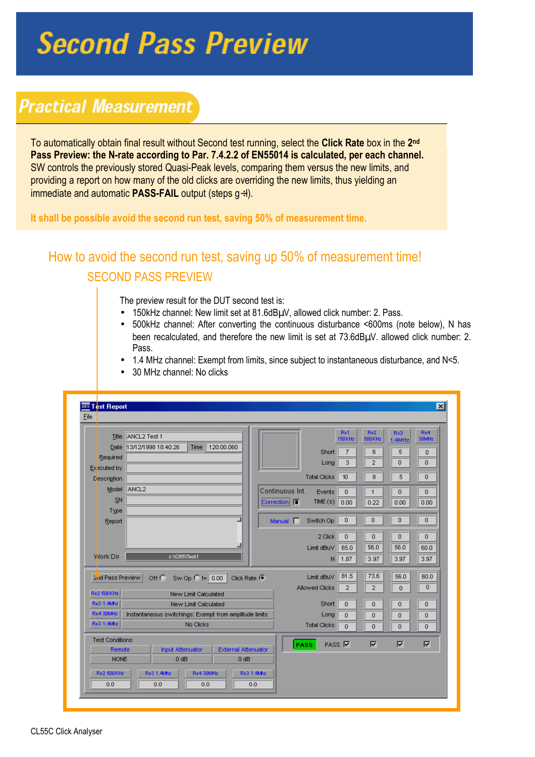# **Second Pass Preview**

# **Practical Measurement**

To automatically obtain final result without Second test running, select the **Click Rate** box in the **2 nd Pass Preview: the N-rate according to Par. 7.4.2.2 of EN55014 is calculated, per each channel.**  SW controls the previously stored Quasi-Peak levels, comparing them versus the new limits, and providing a report on how many of the old clicks are overriding the new limits, thus yielding an immediate and automatic **PASS-FAIL** output (steps g÷l).

**It shall be possible avoid the second run test, saving 50% of measurement time.**

## How to avoid the second run test, saving up 50% of measurement time! SECOND PASS PREVIEW

The preview result for the DUT second test is:

- 150kHz channel: New limit set at 81.6dBµV, allowed click number: 2. Pass.
- 500kHz channel: After converting the continuous disturbance <600ms (note below), N has been recalculated, and therefore the new limit is set at 73.6dBµV. allowed click number: 2. Pass.
- 1.4 MHz channel: Exempt from limits, since subject to instantaneous disturbance, and N<5.

|                        |                                                                          |                        |                     | Rx1            | Rx2                     | <b>Rx3</b>              | Rx4                     |
|------------------------|--------------------------------------------------------------------------|------------------------|---------------------|----------------|-------------------------|-------------------------|-------------------------|
|                        | Title ANCL2 Test 1                                                       |                        |                     | <b>150KHz</b>  | <b>500KHz</b>           | 1.4MHz                  | 30MHz                   |
|                        | 120:00.060<br>Date 13/12/1998 18:40:26<br>Time                           |                        | Short               | $\overline{7}$ | 6                       | 5                       | 0                       |
| Required               |                                                                          |                        | Long                | 3              | $\overline{2}$          | $\overline{0}$          | 0                       |
| Executed by            |                                                                          |                        | <b>Total Clicks</b> | 10             | 8                       | 5                       | $\overline{0}$          |
| Description<br>Model   | ANCL <sub>2</sub>                                                        |                        |                     |                |                         |                         |                         |
| SN                     |                                                                          | Continuous Int.        | Events              | $\overline{0}$ | $\mathbf{1}$            | $\overline{0}$          | $\overline{0}$          |
| Type                   |                                                                          | Correction             | TIME $(s)$ 0.00     |                | 0.22                    | 0.00                    | 0.00                    |
| Report                 |                                                                          | Manual <sup>[77]</sup> | Switch Op           | 0              | Ō                       | $\theta$                | $\mathbf 0$             |
|                        |                                                                          |                        | 2 Click             | $\theta$       | $\overline{0}$          | $\theta$                | $\mathbf 0$             |
|                        | ш                                                                        |                        | Limit dBuV          | 65.0           | 56.0                    | 56.0                    | 60.0                    |
| Work Dir               | c:\Cl55\Test1                                                            |                        | N                   | 1.87           | 3.97                    | 3.97                    | 3.97                    |
| 2nd Pass Preview       | Sw Op $\bigcirc$ f= $\bigcirc$ 0.00<br>Click Rate $\bullet$<br>$Off$ $O$ |                        | Limit dBuV          | 81.5           | 73.6                    | 56.0                    | 60.0                    |
| Rx2 500 KHz            | New Limit Calculated                                                     |                        | Allowed Clicks      | $\overline{2}$ | $\overline{2}$          | $\overline{0}$          | $\overline{0}$          |
| Rx3 1.4Mhz             | New Limit Calculated                                                     |                        | Short               | $\mathbf{0}$   | 0                       | $\mathbf 0$             | $\mathbf 0$             |
| Rx4 30MHz              | Instantaneous switchings: Exempt from amplitude limits                   |                        | Long                | $\mathbf{0}$   | 0                       | $\overline{0}$          | 0                       |
| Rx3 1.4Mhz             | No Clicks                                                                |                        | <b>Total Clicks</b> | $\overline{0}$ | 0                       | $\Omega$                | $\Omega$                |
| <b>Test Conditions</b> |                                                                          | PASS                   | PASS $\nabla$       |                | $\overline{\mathbf{v}}$ | $\overline{\mathbf{v}}$ | $\overline{\mathbf{v}}$ |
| Remote                 | <b>External Attenuator</b><br><b>Input Attenuator</b>                    |                        |                     |                |                         |                         |                         |
|                        | <b>NONE</b><br>$0 d$ B<br>0 dB                                           |                        |                     |                |                         |                         |                         |

• 30 MHz channel: No clicks